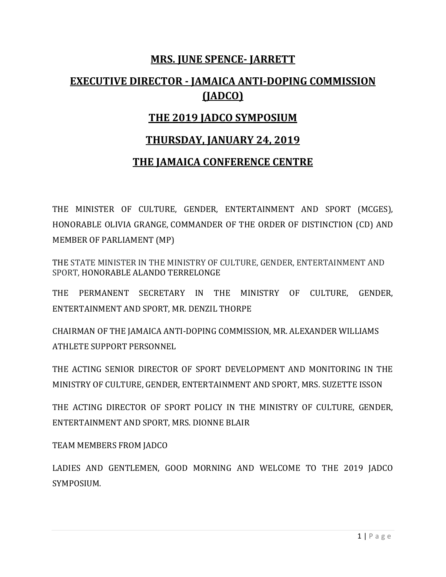## **MRS. JUNE SPENCE- JARRETT**

# **EXECUTIVE DIRECTOR - JAMAICA ANTI-DOPING COMMISSION (JADCO)**

## **THE 2019 JADCO SYMPOSIUM**

### **THURSDAY, JANUARY 24, 2019**

#### **THE JAMAICA CONFERENCE CENTRE**

THE MINISTER OF CULTURE, GENDER, ENTERTAINMENT AND SPORT (MCGES), HONORABLE OLIVIA GRANGE, COMMANDER OF THE ORDER OF DISTINCTION (CD) AND MEMBER OF PARLIAMENT (MP)

THE STATE MINISTER IN THE MINISTRY OF CULTURE, GENDER, ENTERTAINMENT AND SPORT, HONORABLE ALANDO TERRELONGE

THE PERMANENT SECRETARY IN THE MINISTRY OF CULTURE, GENDER, ENTERTAINMENT AND SPORT, MR. DENZIL THORPE

CHAIRMAN OF THE JAMAICA ANTI-DOPING COMMISSION, MR. ALEXANDER WILLIAMS ATHLETE SUPPORT PERSONNEL

THE ACTING SENIOR DIRECTOR OF SPORT DEVELOPMENT AND MONITORING IN THE MINISTRY OF CULTURE, GENDER, ENTERTAINMENT AND SPORT, MRS. SUZETTE ISSON

THE ACTING DIRECTOR OF SPORT POLICY IN THE MINISTRY OF CULTURE, GENDER, ENTERTAINMENT AND SPORT, MRS. DIONNE BLAIR

TEAM MEMBERS FROM JADCO

LADIES AND GENTLEMEN, GOOD MORNING AND WELCOME TO THE 2019 JADCO SYMPOSIUM.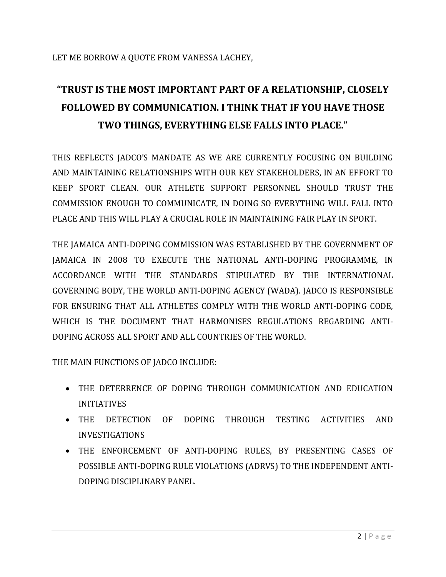# **"TRUST IS THE MOST IMPORTANT PART OF A RELATIONSHIP, CLOSELY FOLLOWED BY COMMUNICATION. I THINK THAT IF YOU HAVE THOSE TWO THINGS, EVERYTHING ELSE FALLS INTO PLACE."**

THIS REFLECTS JADCO'S MANDATE AS WE ARE CURRENTLY FOCUSING ON BUILDING AND MAINTAINING RELATIONSHIPS WITH OUR KEY STAKEHOLDERS, IN AN EFFORT TO KEEP SPORT CLEAN. OUR ATHLETE SUPPORT PERSONNEL SHOULD TRUST THE COMMISSION ENOUGH TO COMMUNICATE, IN DOING SO EVERYTHING WILL FALL INTO PLACE AND THIS WILL PLAY A CRUCIAL ROLE IN MAINTAINING FAIR PLAY IN SPORT.

THE JAMAICA ANTI-DOPING COMMISSION WAS ESTABLISHED BY THE GOVERNMENT OF JAMAICA IN 2008 TO EXECUTE THE NATIONAL ANTI-DOPING PROGRAMME, IN ACCORDANCE WITH THE STANDARDS STIPULATED BY THE INTERNATIONAL GOVERNING BODY, THE WORLD ANTI-DOPING AGENCY (WADA). JADCO IS RESPONSIBLE FOR ENSURING THAT ALL ATHLETES COMPLY WITH THE WORLD ANTI-DOPING CODE, WHICH IS THE DOCUMENT THAT HARMONISES REGULATIONS REGARDING ANTI-DOPING ACROSS ALL SPORT AND ALL COUNTRIES OF THE WORLD.

THE MAIN FUNCTIONS OF JADCO INCLUDE:

- THE DETERRENCE OF DOPING THROUGH COMMUNICATION AND EDUCATION INITIATIVES
- THE DETECTION OF DOPING THROUGH TESTING ACTIVITIES AND INVESTIGATIONS
- THE ENFORCEMENT OF ANTI-DOPING RULES, BY PRESENTING CASES OF POSSIBLE ANTI-DOPING RULE VIOLATIONS (ADRVS) TO THE INDEPENDENT ANTI-DOPING DISCIPLINARY PANEL.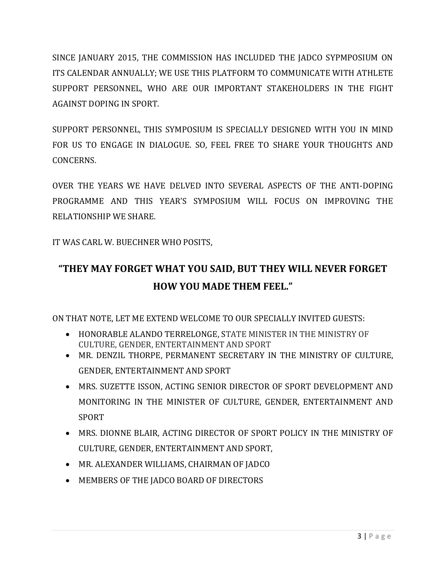SINCE JANUARY 2015, THE COMMISSION HAS INCLUDED THE JADCO SYPMPOSIUM ON ITS CALENDAR ANNUALLY; WE USE THIS PLATFORM TO COMMUNICATE WITH ATHLETE SUPPORT PERSONNEL, WHO ARE OUR IMPORTANT STAKEHOLDERS IN THE FIGHT AGAINST DOPING IN SPORT.

SUPPORT PERSONNEL, THIS SYMPOSIUM IS SPECIALLY DESIGNED WITH YOU IN MIND FOR US TO ENGAGE IN DIALOGUE. SO, FEEL FREE TO SHARE YOUR THOUGHTS AND CONCERNS.

OVER THE YEARS WE HAVE DELVED INTO SEVERAL ASPECTS OF THE ANTI-DOPING PROGRAMME AND THIS YEAR'S SYMPOSIUM WILL FOCUS ON IMPROVING THE RELATIONSHIP WE SHARE.

IT WAS CARL W. BUECHNER WHO POSITS,

# **"THEY MAY FORGET WHAT YOU SAID, BUT THEY WILL NEVER FORGET HOW YOU MADE THEM FEEL."**

ON THAT NOTE, LET ME EXTEND WELCOME TO OUR SPECIALLY INVITED GUESTS:

- HONORABLE ALANDO TERRELONGE, STATE MINISTER IN THE MINISTRY OF CULTURE, GENDER, ENTERTAINMENT AND SPORT
- MR. DENZIL THORPE, PERMANENT SECRETARY IN THE MINISTRY OF CULTURE, GENDER, ENTERTAINMENT AND SPORT
- MRS. SUZETTE ISSON, ACTING SENIOR DIRECTOR OF SPORT DEVELOPMENT AND MONITORING IN THE MINISTER OF CULTURE, GENDER, ENTERTAINMENT AND SPORT
- MRS. DIONNE BLAIR, ACTING DIRECTOR OF SPORT POLICY IN THE MINISTRY OF CULTURE, GENDER, ENTERTAINMENT AND SPORT,
- MR. ALEXANDER WILLIAMS, CHAIRMAN OF JADCO
- MEMBERS OF THE JADCO BOARD OF DIRECTORS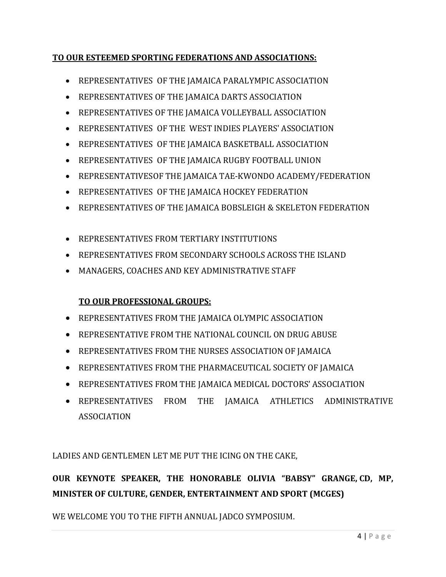#### **TO OUR ESTEEMED SPORTING FEDERATIONS AND ASSOCIATIONS:**

- REPRESENTATIVES OF THE JAMAICA PARALYMPIC ASSOCIATION
- REPRESENTATIVES OF THE JAMAICA DARTS ASSOCIATION
- REPRESENTATIVES OF THE JAMAICA VOLLEYBALL ASSOCIATION
- REPRESENTATIVES OF THE WEST INDIES PLAYERS' ASSOCIATION
- REPRESENTATIVES OF THE JAMAICA BASKETBALL ASSOCIATION
- REPRESENTATIVES OF THE JAMAICA RUGBY FOOTBALL UNION
- REPRESENTATIVESOF THE JAMAICA TAE-KWONDO ACADEMY/FEDERATION
- REPRESENTATIVES OF THE JAMAICA HOCKEY FEDERATION
- REPRESENTATIVES OF THE JAMAICA BOBSLEIGH & SKELETON FEDERATION
- REPRESENTATIVES FROM TERTIARY INSTITUTIONS
- REPRESENTATIVES FROM SECONDARY SCHOOLS ACROSS THE ISLAND
- MANAGERS, COACHES AND KEY ADMINISTRATIVE STAFF

#### **TO OUR PROFESSIONAL GROUPS:**

- REPRESENTATIVES FROM THE JAMAICA OLYMPIC ASSOCIATION
- **REPRESENTATIVE FROM THE NATIONAL COUNCIL ON DRUG ABUSE**
- REPRESENTATIVES FROM THE NURSES ASSOCIATION OF JAMAICA
- REPRESENTATIVES FROM THE PHARMACEUTICAL SOCIETY OF JAMAICA
- REPRESENTATIVES FROM THE JAMAICA MEDICAL DOCTORS' ASSOCIATION
- REPRESENTATIVES FROM THE JAMAICA ATHLETICS ADMINISTRATIVE ASSOCIATION

LADIES AND GENTLEMEN LET ME PUT THE ICING ON THE CAKE,

## **OUR KEYNOTE SPEAKER, THE HONORABLE OLIVIA "BABSY" GRANGE, CD, MP, MINISTER OF CULTURE, GENDER, ENTERTAINMENT AND SPORT (MCGES)**

WE WELCOME YOU TO THE FIFTH ANNUAL JADCO SYMPOSIUM.